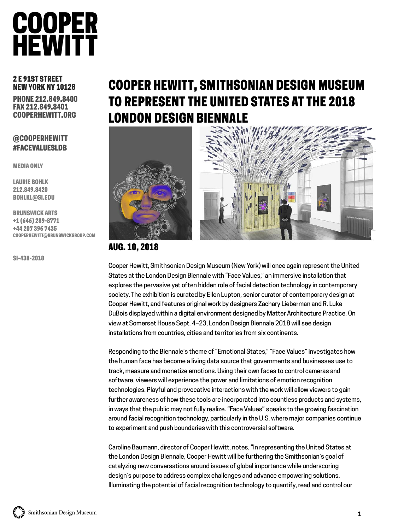### **COOPER HEWITT**

#### 2 E 91ST STREET NEW YORK NY 10128

PHONE 212.849.8400 FAX 212.849.8401 COOPERHEWITT.ORG

#### @COOPERHEWITT #FACEVALUESLDB

MEDIA ONLY

LAURIE BOHLK 212.849.8420 BOHLKL@SI.EDU

BRUNSWICK ARTS +1 (646) 289-8771 +44 207 396 7435 COOPERHEWITT@BRUNSWICKGROUP.COM

SI-438-2018

### COOPER HEWITT, SMITHSONIAN DESIGN MUSEUM TO REPRESENT THE UNITED STATES AT THE 2018 LONDON DESIGN BIENNALE





#### AUG. 10, 2018

Cooper Hewitt, Smithsonian Design Museum (New York) will once again represent the United States at the London Design Biennale with "Face Values," an immersive installation that explores the pervasive yet often hidden role of facial detection technology in contemporary society. The exhibition is curated by Ellen Lupton, senior curator of contemporary design at Cooper Hewitt, and features original work by designers Zachary Lieberman and R. Luke DuBois displayed within a digital environment designed by Matter Architecture Practice. On view at Somerset House Sept. 4–23, London Design Biennale 2018 will see design installations from countries, cities and territories from six continents.

Responding to the Biennale's theme of "Emotional States," "Face Values" investigates how the human face has become a living data source that governments and businesses use to track, measure and monetize emotions. Using their own faces to control cameras and software, viewers will experience the power and limitations of emotion recognition technologies. Playful and provocative interactions with the work will allow viewers to gain further awareness of how these tools are incorporated into countless products and systems, in ways that the public may not fully realize. "Face Values" speaks to the growing fascination around facial recognition technology, particularly in the U.S. where major companies continue to experiment and push boundaries with this controversial software.

Caroline Baumann, director of Cooper Hewitt, notes, "In representing the United States at the London Design Biennale, Cooper Hewitt will be furthering the Smithsonian's goal of catalyzing new conversations around issues of global importance while underscoring design's purpose to address complex challenges and advance empowering solutions. Illuminating the potential of facial recognition technology to quantify, read and control our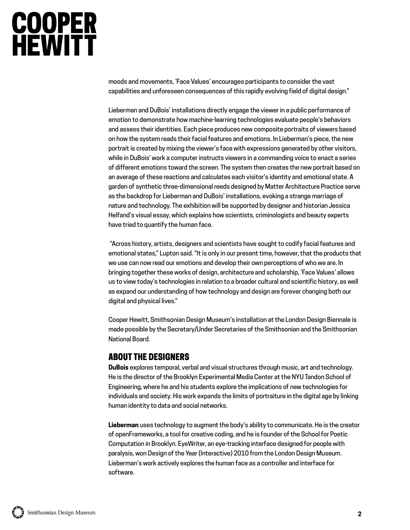# **COOPER<br>HEWITT**

moods and movements, 'Face Values' encourages participants to consider the vast capabilities and unforeseen consequences of this rapidly evolving field of digital design."

Lieberman and DuBois' installations directly engage the viewer in a public performance of emotion to demonstrate how machine-learning technologies evaluate people's behaviors and assess their identities. Each piece produces new composite portraits of viewers based on how the system reads their facial features and emotions. In Lieberman's piece, the new portrait is created by mixing the viewer's face with expressions generated by other visitors, while in DuBois' work a computer instructs viewers in a commanding voice to enact a series of different emotions toward the screen. The system then creates the new portrait based on an average of these reactions and calculates each visitor's identity and emotional state. A garden of synthetic three-dimensional reeds designed by Matter Architecture Practice serve as the backdrop for Lieberman and DuBois' installations, evoking a strange marriage of nature and technology. The exhibition will be supported by designer and historian Jessica Helfand's visual essay, which explains how scientists, criminologists and beauty experts have tried to quantify the human face.

"Across history, artists, designers and scientists have sought to codify facial features and emotional states," Lupton said. "It is only in our present time, however, that the products that we use can now read our emotions and develop their own perceptions of who we are. In bringing together these works of design, architecture and scholarship, 'Face Values' allows us to view today's technologies in relation to a broader cultural and scientific history, as well as expand our understanding of how technology and design are forever changing both our digital and physical lives."

Cooper Hewitt, Smithsonian Design Museum's installation at the London Design Biennale is made possible by the Secretary/Under Secretaries of the Smithsonian and the Smithsonian National Board.

#### ABOUT THE DESIGNERS

**DuBois** explores temporal, verbal and visual structures through music, art and technology. He is the director of the Brooklyn Experimental Media Center at the NYU Tandon School of Engineering, where he and his students explore the implications of new technologies for individuals and society. His work expands the limits of portraiture in the digital age by linking human identity to data and social networks.

**Lieberman** uses technology to augment the body's ability to communicate. He is the creator of openFrameworks, a tool for creative coding, and he is founder of the School for Poetic Computation in Brooklyn. EyeWriter, an eye-tracking interface designed for people with paralysis, won Design of the Year (Interactive) 2010 from the London Design Museum. Lieberman's work actively explores the human face as a controller and interface for software.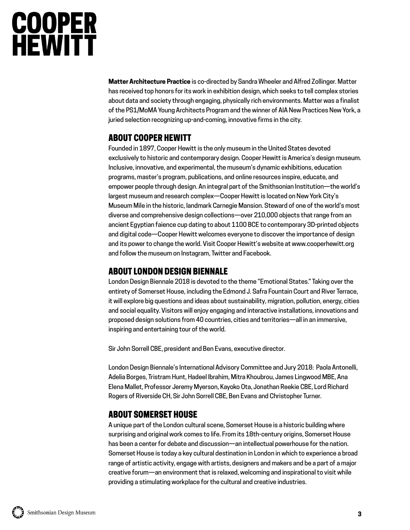# **COOPER<br>HEWITT**

**Matter Architecture Practice** is co-directed by Sandra Wheeler and Alfred Zollinger. Matter has received top honors for its work in exhibition design, which seeks to tell complex stories about data and society through engaging, physically rich environments. Matter was a finalist of the PS1/MoMA Young Architects Program and the winner of AIA New Practices New York, a juried selection recognizing up-and-coming, innovative firms in the city.

#### ABOUT COOPER HEWITT

Founded in 1897, Cooper Hewitt is the only museum in the United States devoted exclusively to historic and contemporary design. Cooper Hewitt is America's design museum. Inclusive, innovative, and experimental, the museum's dynamic exhibitions, education programs, master's program, publications, and online resources inspire, educate, and empower people through design. An integral part of the Smithsonian Institution—the world's largest museum and research complex—Cooper Hewitt is located on New York City's Museum Mile in the historic, landmark Carnegie Mansion. Steward of one of the world's most diverse and comprehensive design collections—over 210,000 objects that range from an ancient Egyptian faience cup dating to about 1100 BCE to contemporary 3D-printed objects and digital code—Cooper Hewitt welcomes everyone to discover the importance of design and its power to change the world. Visit Cooper Hewitt's website at www.cooperhewitt.org and follow the museum on Instagram, Twitter and Facebook.

#### ABOUT LONDON DESIGN BIENNALE

London Design Biennale 2018 is devoted to the theme "Emotional States." Taking over the entirety of Somerset House, including the Edmond J. Safra Fountain Court and River Terrace, it will explore big questions and ideas about sustainability, migration, pollution, energy, cities and social equality. Visitors will enjoy engaging and interactive installations, innovations and proposed design solutions from 40 countries, cities and territories—all in an immersive, inspiring and entertaining tour of the world.

Sir John Sorrell CBE, president and Ben Evans, executive director.

London Design Biennale's International Advisory Committee and Jury 2018: Paola Antonelli, Adelia Borges, Tristram Hunt, Hadeel Ibrahim, Mitra Khoubrou, James Lingwood MBE, Ana Elena Mallet, Professor Jeremy Myerson, Kayoko Ota, Jonathan Reekie CBE, Lord Richard Rogers of Riverside CH, Sir John Sorrell CBE, Ben Evans and Christopher Turner.

#### ABOUT SOMERSET HOUSE

A unique part of the London cultural scene, Somerset House is a historic building where surprising and original work comes to life. From its 18th-century origins, Somerset House has been a center for debate and discussion—an intellectual powerhouse for the nation. Somerset House is today a key cultural destination in London in which to experience a broad range of artistic activity, engage with artists, designers and makers and be a part of a major creative forum—an environment that is relaxed, welcoming and inspirational to visit while providing a stimulating workplace for the cultural and creative industries.